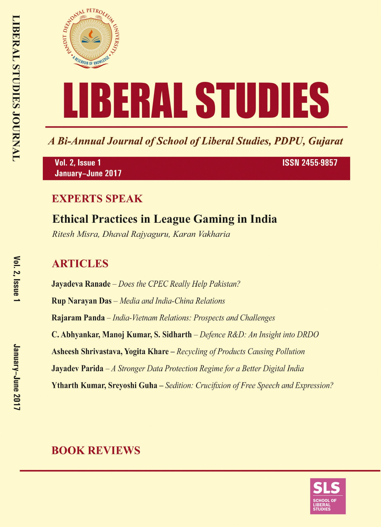

A Bi-Annual Journal of School of Liberal Studies, PDPU, Gujarat

Vol. 2, Issue 1 January-June 2017 **ISSN 2455-9857** 

## **EXPERTS SPEAK**

# **Ethical Practices in League Gaming in India**

Ritesh Misra, Dhaval Rajyaguru, Karan Vakharia

## **ARTICLES**

**Jayadeva Ranade** – Does the CPEC Really Help Pakistan? **Rup Narayan Das** - Media and India-China Relations Rajaram Panda - India-Vietnam Relations: Prospects and Challenges C. Abhyankar, Manoj Kumar, S. Sidharth – Defence R&D: An Insight into DRDO **Asheesh Shrivastava, Yogita Khare** – Recycling of Products Causing Pollution **Jayadev Parida**  $-A$  Stronger Data Protection Regime for a Better Digital India **Ytharth Kumar, Srevoshi Guha** – Sedition: Crucifixion of Free Speech and Expression?

## **BOOK REVIEWS**

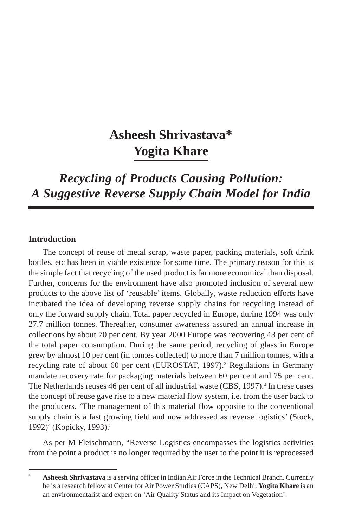# **Asheesh Shrivastava\* Yogita Khare**

*Recycling of Products Causing Pollution: A Suggestive Reverse Supply Chain Model for India*

### **Introduction**

The concept of reuse of metal scrap, waste paper, packing materials, soft drink bottles, etc has been in viable existence for some time. The primary reason for this is the simple fact that recycling of the used product is far more economical than disposal. Further, concerns for the environment have also promoted inclusion of several new products to the above list of 'reusable' items. Globally, waste reduction efforts have incubated the idea of developing reverse supply chains for recycling instead of only the forward supply chain. Total paper recycled in Europe, during 1994 was only 27.7 million tonnes. Thereafter, consumer awareness assured an annual increase in collections by about 70 per cent. By year 2000 Europe was recovering 43 per cent of the total paper consumption. During the same period, recycling of glass in Europe grew by almost 10 per cent (in tonnes collected) to more than 7 million tonnes, with a recycling rate of about 60 per cent (EUROSTAT, 1997).<sup>2</sup> Regulations in Germany mandate recovery rate for packaging materials between 60 per cent and 75 per cent. The Netherlands reuses 46 per cent of all industrial waste (CBS, 1997).<sup>3</sup> In these cases the concept of reuse gave rise to a new material flow system, i.e. from the user back to the producers. 'The management of this material flow opposite to the conventional supply chain is a fast growing field and now addressed as reverse logistics' (Stock, 1992)<sup>4</sup> (Kopicky, 1993).<sup>5</sup>

As per M Fleischmann, "Reverse Logistics encompasses the logistics activities from the point a product is no longer required by the user to the point it is reprocessed

Asheesh Shrivastava is a serving officer in Indian Air Force in the Technical Branch. Currently he is a research fellow at Center for Air Power Studies (CAPS), New Delhi. **Yogita Khare** is an an environmentalist and expert on 'Air Quality Status and its Impact on Vegetation'.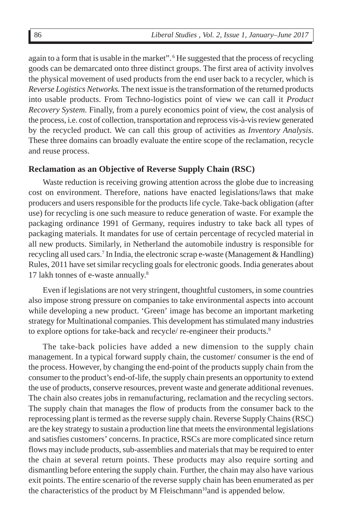again to a form that is usable in the market". <sup>6</sup> He suggested that the process of recycling goods can be demarcated onto three distinct groups. The first area of activity involves the physical movement of used products from the end user back to a recycler, which is *Reverse Logistics Networks.* The next issue is the transformation of the returned products into usable products. From Techno-logistics point of view we can call it *Product Recovery System.* Finally, from a purely economics point of view, the cost analysis of the process, i.e. cost of collection, transportation and reprocess vis-à-vis review generated by the recycled product. We can call this group of activities as *Inventory Analysis*. These three domains can broadly evaluate the entire scope of the reclamation, recycle and reuse process.

#### **Reclamation as an Objective of Reverse Supply Chain (RSC)**

Waste reduction is receiving growing attention across the globe due to increasing cost on environment. Therefore, nations have enacted legislations/laws that make producers and users responsible for the products life cycle. Take-back obligation (after use) for recycling is one such measure to reduce generation of waste. For example the packaging ordinance 1991 of Germany, requires industry to take back all types of packaging materials. It mandates for use of certain percentage of recycled material in all new products. Similarly, in Netherland the automobile industry is responsible for recycling all used cars.<sup>7</sup> In India, the electronic scrap e-waste (Management & Handling) Rules, 2011 have set similar recycling goals for electronic goods. India generates about 17 lakh tonnes of e-waste annually.8

Even if legislations are not very stringent, thoughtful customers, in some countries also impose strong pressure on companies to take environmental aspects into account while developing a new product. 'Green' image has become an important marketing strategy for Multinational companies. This development has stimulated many industries to explore options for take-back and recycle/ re-engineer their products.9

The take-back policies have added a new dimension to the supply chain management. In a typical forward supply chain, the customer/ consumer is the end of the process. However, by changing the end-point of the products supply chain from the consumer to the product's end-of-life, the supply chain presents an opportunity to extend the use of products, conserve resources, prevent waste and generate additional revenues. The chain also creates jobs in remanufacturing, reclamation and the recycling sectors. The supply chain that manages the flow of products from the consumer back to the reprocessing plant is termed as the reverse supply chain. Reverse Supply Chains (RSC) are the key strategy to sustain a production line that meets the environmental legislations and satisfies customers' concerns. In practice, RSCs are more complicated since return flows may include products, sub-assemblies and materials that may be required to enter the chain at several return points. These products may also require sorting and dismantling before entering the supply chain. Further, the chain may also have various exit points. The entire scenario of the reverse supply chain has been enumerated as per the characteristics of the product by M Fleischmann<sup>10</sup> and is appended below.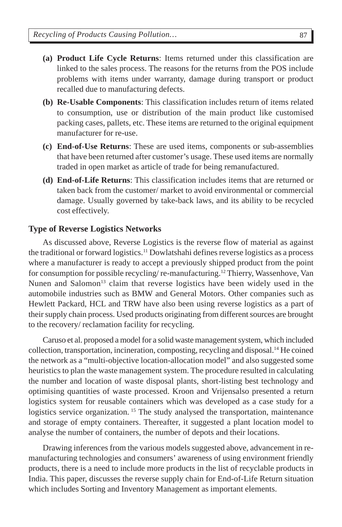- **(a) Product Life Cycle Returns**: Items returned under this classification are linked to the sales process. The reasons for the returns from the POS include problems with items under warranty, damage during transport or product recalled due to manufacturing defects.
- **(b) Re-Usable Components**: This classification includes return of items related to consumption, use or distribution of the main product like customised packing cases, pallets, etc. These items are returned to the original equipment manufacturer for re-use.
- **(c) End-of-Use Returns**: These are used items, components or sub-assemblies that have been returned after customer's usage. These used items are normally traded in open market as article of trade for being remanufactured.
- **(d) End-of-Life Returns**: This classification includes items that are returned or taken back from the customer/ market to avoid environmental or commercial damage. Usually governed by take-back laws, and its ability to be recycled cost effectively.

#### **Type of Reverse Logistics Networks**

As discussed above, Reverse Logistics is the reverse flow of material as against the traditional or forward logistics.11 Dowlatshahi defines reverse logistics as a process where a manufacturer is ready to accept a previously shipped product from the point for consumption for possible recycling/ re-manufacturing.12 Thierry, Wassenhove, Van Nunen and Salomon<sup>13</sup> claim that reverse logistics have been widely used in the automobile industries such as BMW and General Motors. Other companies such as Hewlett Packard, HCL and TRW have also been using reverse logistics as a part of their supply chain process. Used products originating from different sources are brought to the recovery/ reclamation facility for recycling.

Caruso et al. proposed a model for a solid waste management system, which included collection, transportation, incineration, composting, recycling and disposal.14 He coined the network as a "multi-objective location-allocation model" and also suggested some heuristics to plan the waste management system. The procedure resulted in calculating the number and location of waste disposal plants, short-listing best technology and optimising quantities of waste processed. Kroon and Vrijensalso presented a return logistics system for reusable containers which was developed as a case study for a logistics service organization. <sup>15</sup> The study analysed the transportation, maintenance and storage of empty containers. Thereafter, it suggested a plant location model to analyse the number of containers, the number of depots and their locations.

Drawing inferences from the various models suggested above, advancement in remanufacturing technologies and consumers' awareness of using environment friendly products, there is a need to include more products in the list of recyclable products in India. This paper, discusses the reverse supply chain for End-of-Life Return situation which includes Sorting and Inventory Management as important elements.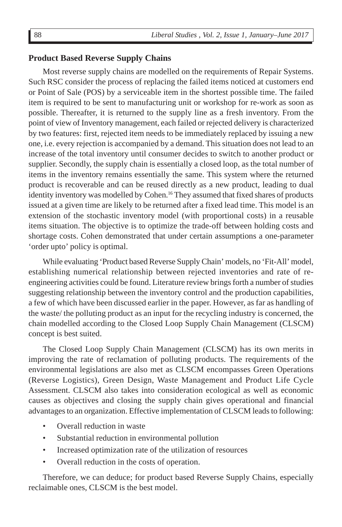#### **Product Based Reverse Supply Chains**

Most reverse supply chains are modelled on the requirements of Repair Systems. Such RSC consider the process of replacing the failed items noticed at customers end or Point of Sale (POS) by a serviceable item in the shortest possible time. The failed item is required to be sent to manufacturing unit or workshop for re-work as soon as possible. Thereafter, it is returned to the supply line as a fresh inventory. From the point of view of Inventory management, each failed or rejected delivery is characterized by two features: first, rejected item needs to be immediately replaced by issuing a new one, i.e. every rejection is accompanied by a demand. This situation does not lead to an increase of the total inventory until consumer decides to switch to another product or supplier. Secondly, the supply chain is essentially a closed loop, as the total number of items in the inventory remains essentially the same. This system where the returned product is recoverable and can be reused directly as a new product, leading to dual identity inventory was modelled by Cohen.<sup>16</sup> They assumed that fixed shares of products issued at a given time are likely to be returned after a fixed lead time. This model is an extension of the stochastic inventory model (with proportional costs) in a reusable items situation. The objective is to optimize the trade-off between holding costs and shortage costs. Cohen demonstrated that under certain assumptions a one-parameter 'order upto' policy is optimal.

While evaluating 'Product based Reverse Supply Chain' models, no 'Fit-All' model, establishing numerical relationship between rejected inventories and rate of reengineering activities could be found. Literature review brings forth a number of studies suggesting relationship between the inventory control and the production capabilities, a few of which have been discussed earlier in the paper. However, as far as handling of the waste/ the polluting product as an input for the recycling industry is concerned, the chain modelled according to the Closed Loop Supply Chain Management (CLSCM) concept is best suited.

The Closed Loop Supply Chain Management (CLSCM) has its own merits in improving the rate of reclamation of polluting products. The requirements of the environmental legislations are also met as CLSCM encompasses Green Operations (Reverse Logistics), Green Design, Waste Management and Product Life Cycle Assessment. CLSCM also takes into consideration ecological as well as economic causes as objectives and closing the supply chain gives operational and financial advantages to an organization. Effective implementation of CLSCM leads to following:

- Overall reduction in waste
- Substantial reduction in environmental pollution
- Increased optimization rate of the utilization of resources
- Overall reduction in the costs of operation.

Therefore, we can deduce; for product based Reverse Supply Chains, especially reclaimable ones, CLSCM is the best model.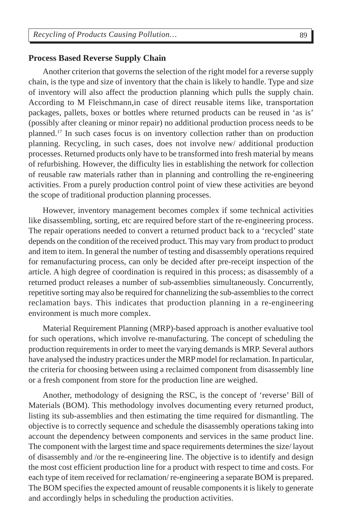#### **Process Based Reverse Supply Chain**

Another criterion that governs the selection of the right model for a reverse supply chain, is the type and size of inventory that the chain is likely to handle. Type and size of inventory will also affect the production planning which pulls the supply chain. According to M Fleischmann,in case of direct reusable items like, transportation packages, pallets, boxes or bottles where returned products can be reused in 'as is' (possibly after cleaning or minor repair) no additional production process needs to be planned.17 In such cases focus is on inventory collection rather than on production planning. Recycling, in such cases, does not involve new/ additional production processes. Returned products only have to be transformed into fresh material by means of refurbishing. However, the difficulty lies in establishing the network for collection of reusable raw materials rather than in planning and controlling the re-engineering activities. From a purely production control point of view these activities are beyond the scope of traditional production planning processes.

However, inventory management becomes complex if some technical activities like disassembling, sorting, etc are required before start of the re-engineering process. The repair operations needed to convert a returned product back to a 'recycled' state depends on the condition of the received product. This may vary from product to product and item to item. In general the number of testing and disassembly operations required for remanufacturing process, can only be decided after pre-receipt inspection of the article. A high degree of coordination is required in this process; as disassembly of a returned product releases a number of sub-assemblies simultaneously. Concurrently, repetitive sorting may also be required for channelizing the sub-assemblies to the correct reclamation bays. This indicates that production planning in a re-engineering environment is much more complex.

Material Requirement Planning (MRP)-based approach is another evaluative tool for such operations, which involve re-manufacturing. The concept of scheduling the production requirements in order to meet the varying demands is MRP. Several authors have analysed the industry practices under the MRP model for reclamation. In particular, the criteria for choosing between using a reclaimed component from disassembly line or a fresh component from store for the production line are weighed.

Another, methodology of designing the RSC, is the concept of 'reverse' Bill of Materials (BOM). This methodology involves documenting every returned product, listing its sub-assemblies and then estimating the time required for dismantling. The objective is to correctly sequence and schedule the disassembly operations taking into account the dependency between components and services in the same product line. The component with the largest time and space requirements determines the size/ layout of disassembly and /or the re-engineering line. The objective is to identify and design the most cost efficient production line for a product with respect to time and costs. For each type of item received for reclamation/ re-engineering a separate BOM is prepared. The BOM specifies the expected amount of reusable components it is likely to generate and accordingly helps in scheduling the production activities.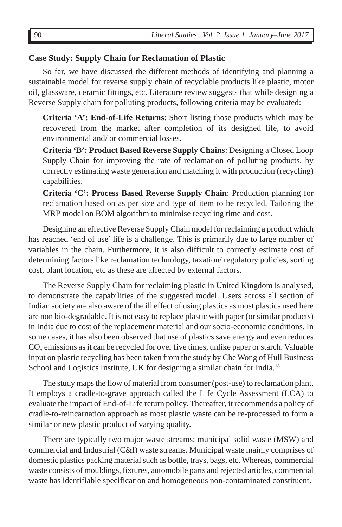#### **Case Study: Supply Chain for Reclamation of Plastic**

So far, we have discussed the different methods of identifying and planning a sustainable model for reverse supply chain of recyclable products like plastic, motor oil, glassware, ceramic fittings, etc. Literature review suggests that while designing a Reverse Supply chain for polluting products, following criteria may be evaluated:

**Criteria 'A': End-of-Life Returns**: Short listing those products which may be recovered from the market after completion of its designed life, to avoid environmental and/ or commercial losses.

**Criteria 'B': Product Based Reverse Supply Chains**: Designing a Closed Loop Supply Chain for improving the rate of reclamation of polluting products, by correctly estimating waste generation and matching it with production (recycling) capabilities.

**Criteria 'C': Process Based Reverse Supply Chain**: Production planning for reclamation based on as per size and type of item to be recycled. Tailoring the MRP model on BOM algorithm to minimise recycling time and cost.

Designing an effective Reverse Supply Chain model for reclaiming a product which has reached 'end of use' life is a challenge. This is primarily due to large number of variables in the chain. Furthermore, it is also difficult to correctly estimate cost of determining factors like reclamation technology, taxation/ regulatory policies, sorting cost, plant location, etc as these are affected by external factors.

The Reverse Supply Chain for reclaiming plastic in United Kingdom is analysed, to demonstrate the capabilities of the suggested model. Users across all section of Indian society are also aware of the ill effect of using plastics as most plastics used here are non bio-degradable. It is not easy to replace plastic with paper (or similar products) in India due to cost of the replacement material and our socio-economic conditions. In some cases, it has also been observed that use of plastics save energy and even reduces  $\mathrm{CO}_2$  emissions as it can be recycled for over five times, unlike paper or starch. Valuable input on plastic recycling has been taken from the study by Che Wong of Hull Business School and Logistics Institute, UK for designing a similar chain for India.<sup>18</sup>

The study maps the flow of material from consumer (post-use) to reclamation plant. It employs a cradle-to-grave approach called the Life Cycle Assessment (LCA) to evaluate the impact of End-of-Life return policy. Thereafter, it recommends a policy of cradle-to-reincarnation approach as most plastic waste can be re-processed to form a similar or new plastic product of varying quality.

There are typically two major waste streams; municipal solid waste (MSW) and commercial and Industrial (C&I) waste streams. Municipal waste mainly comprises of domestic plastics packing material such as bottle, trays, bags, etc. Whereas, commercial waste consists of mouldings, fixtures, automobile parts and rejected articles, commercial waste has identifiable specification and homogeneous non-contaminated constituent.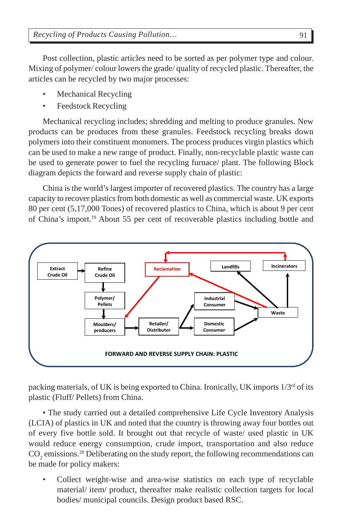Post collection, plastic articles need to be sorted as per polymer type and colour. Mixing of polymer/ colour lowers the grade/ quality of recycled plastic. Thereafter, the articles can be recycled by two major processes:

- Mechanical Recycling
- Feedstock Recycling

Mechanical recycling includes; shredding and melting to produce granules. New products can be produces from these granules. Feedstock recycling breaks down polymers into their constituent monomers. The process produces virgin plastics which can be used to make a new range of product. Finally, non-recyclable plastic waste can be used to generate power to fuel the recycling furnace/ plant. The following Block diagram depicts the forward and reverse supply chain of plastic:

China is the world's largest importer of recovered plastics. The country has a large capacity to recover plastics from both domestic as well as commercial waste. UK exports 80 per cent (5,17,000 Tones) of recovered plastics to China, which is about 9 per cent of China's import.19 About 55 per cent of recoverable plastics including bottle and



packing materials, of UK is being exported to China. Ironically, UK imports 1/3rd of its plastic (Fluff/ Pellets) from China.

• The study carried out a detailed comprehensive Life Cycle Inventory Analysis (LCIA) of plastics in UK and noted that the country is throwing away four bottles out of every five bottle sold. It brought out that recycle of waste/ used plastic in UK would reduce energy consumption, crude import, transportation and also reduce  $\rm CO_2$  emissions.<sup>20</sup> Deliberating on the study report, the following recommendations can be made for policy makers:

Collect weight-wise and area-wise statistics on each type of recyclable material/ item/ product, thereafter make realistic collection targets for local bodies/ municipal councils. Design product based RSC.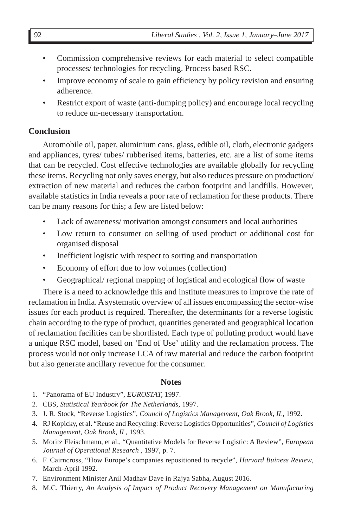- Commission comprehensive reviews for each material to select compatible processes/ technologies for recycling. Process based RSC.
- Improve economy of scale to gain efficiency by policy revision and ensuring adherence.
- Restrict export of waste (anti-dumping policy) and encourage local recycling to reduce un-necessary transportation.

### **Conclusion**

Automobile oil, paper, aluminium cans, glass, edible oil, cloth, electronic gadgets and appliances, tyres/ tubes/ rubberised items, batteries, etc. are a list of some items that can be recycled. Cost effective technologies are available globally for recycling these items. Recycling not only saves energy, but also reduces pressure on production/ extraction of new material and reduces the carbon footprint and landfills. However, available statistics in India reveals a poor rate of reclamation for these products. There can be many reasons for this; a few are listed below:

- Lack of awareness/ motivation amongst consumers and local authorities
- Low return to consumer on selling of used product or additional cost for organised disposal
- Inefficient logistic with respect to sorting and transportation
- Economy of effort due to low volumes (collection)
- Geographical/ regional mapping of logistical and ecological flow of waste

There is a need to acknowledge this and institute measures to improve the rate of reclamation in India. A systematic overview of all issues encompassing the sector-wise issues for each product is required. Thereafter, the determinants for a reverse logistic chain according to the type of product, quantities generated and geographical location of reclamation facilities can be shortlisted. Each type of polluting product would have a unique RSC model, based on 'End of Use' utility and the reclamation process. The process would not only increase LCA of raw material and reduce the carbon footprint but also generate ancillary revenue for the consumer.

### **Notes**

- 1*.* "Panorama of EU Industry", *EUROSTAT,* 1997.
- 2*.* CBS, *Statistical Yearbook for The Netherlands*, 1997.
- 3. J. R. Stock, "Reverse Logistics", *Council of Logistics Management, Oak Brook, IL*, 1992.
- 4. RJ Kopicky, et al. "Reuse and Recycling: Reverse Logistics Opportunities", *Council of Logistics Management, Oak Brook, IL,* 1993.
- 5. Moritz Fleischmann, et al., "Quantitative Models for Reverse Logistic: A Review", *European Journal of Operational Research* , 1997, p. 7.
- 6. F. Cairncross, "How Europe's companies repositioned to recycle", *Harvard Buiness Review*, March-April 1992.
- 7. Environment Minister Anil Madhav Dave in Rajya Sabha, August 2016.
- 8. M.C. Thierry, *An Analysis of Impact of Product Recovery Management on Manufacturing*